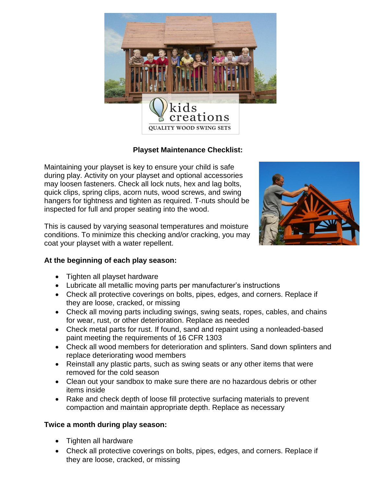

## **Playset Maintenance Checklist:**

Maintaining your playset is key to ensure your child is safe during play. Activity on your playset and optional accessories may loosen fasteners. Check all lock nuts, hex and lag bolts, quick clips, spring clips, acorn nuts, wood screws, and swing hangers for tightness and tighten as required. T-nuts should be inspected for full and proper seating into the wood.

This is caused by varying seasonal temperatures and moisture conditions. To minimize this checking and/or cracking, you may coat your playset with a water repellent.



## **At the beginning of each play season:**

- Tighten all playset hardware
- Lubricate all metallic moving parts per manufacturer's instructions
- Check all protective coverings on bolts, pipes, edges, and corners. Replace if they are loose, cracked, or missing
- Check all moving parts including swings, swing seats, ropes, cables, and chains for wear, rust, or other deterioration. Replace as needed
- Check metal parts for rust. If found, sand and repaint using a nonleaded-based paint meeting the requirements of 16 CFR 1303
- Check all wood members for deterioration and splinters. Sand down splinters and replace deteriorating wood members
- Reinstall any plastic parts, such as swing seats or any other items that were removed for the cold season
- Clean out your sandbox to make sure there are no hazardous debris or other items inside
- Rake and check depth of loose fill protective surfacing materials to prevent compaction and maintain appropriate depth. Replace as necessary

## **Twice a month during play season:**

- Tighten all hardware
- Check all protective coverings on bolts, pipes, edges, and corners. Replace if they are loose, cracked, or missing